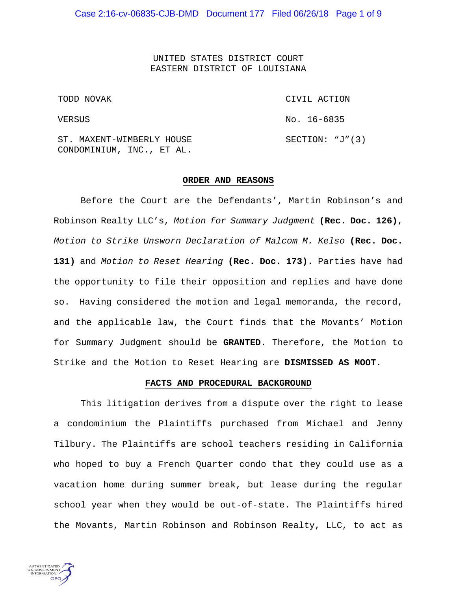UNITED STATES DISTRICT COURT EASTERN DISTRICT OF LOUISIANA

TODD NOVAK

VERSUS

CIVIL ACTION No. 16-6835 SECTION: "J"(3)

ST. MAXENT-WIMBERLY HOUSE CONDOMINIUM, INC., ET AL.

#### **ORDER AND REASONS**

Before the Court are the Defendants', Martin Robinson's and Robinson Realty LLC's, *Motion for Summary Judgment* **(Rec. Doc. 126)**, *Motion to Strike Unsworn Declaration of Malcom M. Kelso* **(Rec. Doc. 131)** and *Motion to Reset Hearing* **(Rec. Doc. 173).** Parties have had the opportunity to file their opposition and replies and have done so. Having considered the motion and legal memoranda, the record, and the applicable law, the Court finds that the Movants' Motion for Summary Judgment should be **GRANTED**. Therefore, the Motion to Strike and the Motion to Reset Hearing are **DISMISSED AS MOOT**.

#### **FACTS AND PROCEDURAL BACKGROUND**

This litigation derives from a dispute over the right to lease a condominium the Plaintiffs purchased from Michael and Jenny Tilbury. The Plaintiffs are school teachers residing in California who hoped to buy a French Quarter condo that they could use as a vacation home during summer break, but lease during the regular school year when they would be out-of-state. The Plaintiffs hired the Movants, Martin Robinson and Robinson Realty, LLC, to act as

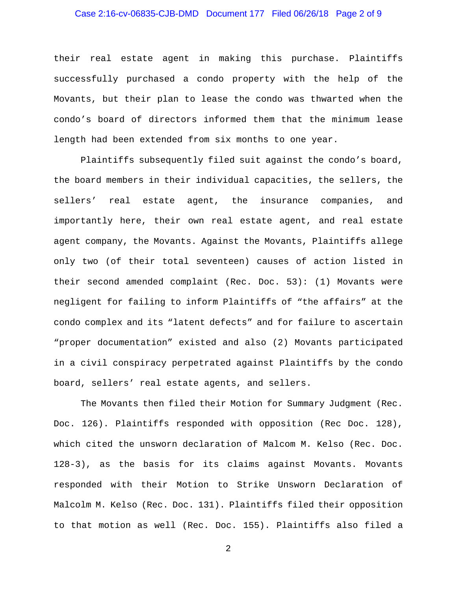### Case 2:16-cv-06835-CJB-DMD Document 177 Filed 06/26/18 Page 2 of 9

their real estate agent in making this purchase. Plaintiffs successfully purchased a condo property with the help of the Movants, but their plan to lease the condo was thwarted when the condo's board of directors informed them that the minimum lease length had been extended from six months to one year.

Plaintiffs subsequently filed suit against the condo's board, the board members in their individual capacities, the sellers, the sellers' real estate agent, the insurance companies, and importantly here, their own real estate agent, and real estate agent company, the Movants. Against the Movants, Plaintiffs allege only two (of their total seventeen) causes of action listed in their second amended complaint (Rec. Doc. 53): (1) Movants were negligent for failing to inform Plaintiffs of "the affairs" at the condo complex and its "latent defects" and for failure to ascertain "proper documentation" existed and also (2) Movants participated in a civil conspiracy perpetrated against Plaintiffs by the condo board, sellers' real estate agents, and sellers.

The Movants then filed their Motion for Summary Judgment (Rec. Doc. 126). Plaintiffs responded with opposition (Rec Doc. 128), which cited the unsworn declaration of Malcom M. Kelso (Rec. Doc. 128-3), as the basis for its claims against Movants. Movants responded with their Motion to Strike Unsworn Declaration of Malcolm M. Kelso (Rec. Doc. 131). Plaintiffs filed their opposition to that motion as well (Rec. Doc. 155). Plaintiffs also filed a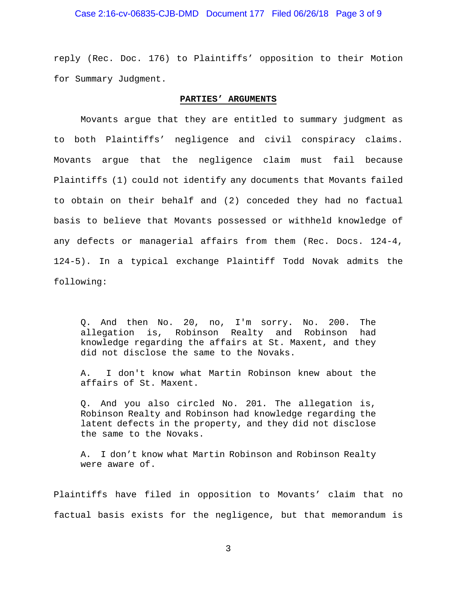### Case 2:16-cv-06835-CJB-DMD Document 177 Filed 06/26/18 Page 3 of 9

reply (Rec. Doc. 176) to Plaintiffs' opposition to their Motion for Summary Judgment.

#### **PARTIES' ARGUMENTS**

Movants argue that they are entitled to summary judgment as to both Plaintiffs' negligence and civil conspiracy claims. Movants argue that the negligence claim must fail because Plaintiffs (1) could not identify any documents that Movants failed to obtain on their behalf and (2) conceded they had no factual basis to believe that Movants possessed or withheld knowledge of any defects or managerial affairs from them (Rec. Docs. 124-4, 124-5). In a typical exchange Plaintiff Todd Novak admits the following:

Q. And then No. 20, no, I'm sorry. No. 200. The allegation is, Robinson Realty and Robinson had knowledge regarding the affairs at St. Maxent, and they did not disclose the same to the Novaks.

A. I don't know what Martin Robinson knew about the affairs of St. Maxent.

Q. And you also circled No. 201. The allegation is, Robinson Realty and Robinson had knowledge regarding the latent defects in the property, and they did not disclose the same to the Novaks.

A. I don't know what Martin Robinson and Robinson Realty were aware of.

Plaintiffs have filed in opposition to Movants' claim that no factual basis exists for the negligence, but that memorandum is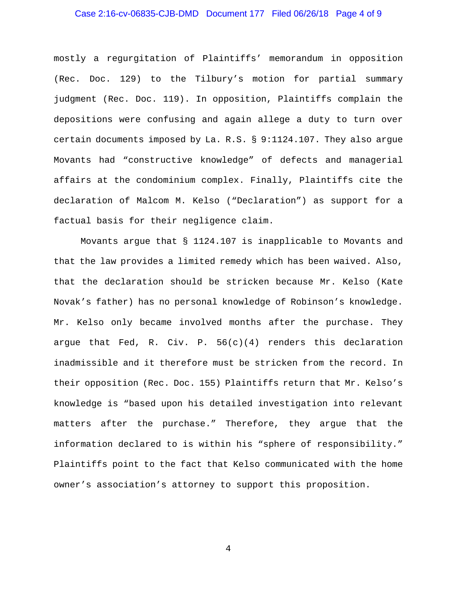# Case 2:16-cv-06835-CJB-DMD Document 177 Filed 06/26/18 Page 4 of 9

mostly a regurgitation of Plaintiffs' memorandum in opposition (Rec. Doc. 129) to the Tilbury's motion for partial summary judgment (Rec. Doc. 119). In opposition, Plaintiffs complain the depositions were confusing and again allege a duty to turn over certain documents imposed by La. R.S. § 9:1124.107. They also argue Movants had "constructive knowledge" of defects and managerial affairs at the condominium complex. Finally, Plaintiffs cite the declaration of Malcom M. Kelso ("Declaration") as support for a factual basis for their negligence claim.

Movants argue that § 1124.107 is inapplicable to Movants and that the law provides a limited remedy which has been waived. Also, that the declaration should be stricken because Mr. Kelso (Kate Novak's father) has no personal knowledge of Robinson's knowledge. Mr. Kelso only became involved months after the purchase. They argue that Fed, R. Civ. P.  $56(c)(4)$  renders this declaration inadmissible and it therefore must be stricken from the record. In their opposition (Rec. Doc. 155) Plaintiffs return that Mr. Kelso's knowledge is "based upon his detailed investigation into relevant matters after the purchase." Therefore, they argue that the information declared to is within his "sphere of responsibility." Plaintiffs point to the fact that Kelso communicated with the home owner's association's attorney to support this proposition.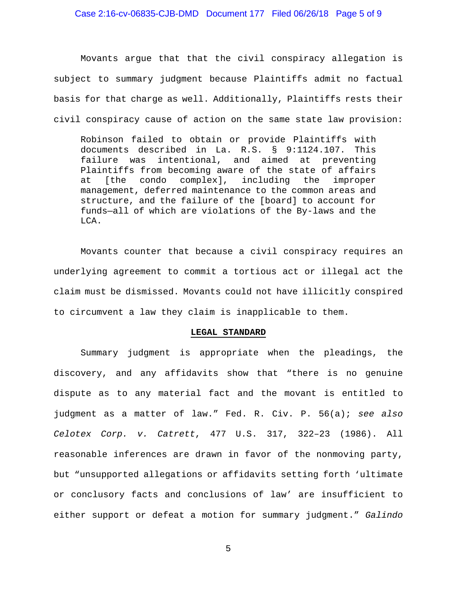## Case 2:16-cv-06835-CJB-DMD Document 177 Filed 06/26/18 Page 5 of 9

Movants argue that that the civil conspiracy allegation is subject to summary judgment because Plaintiffs admit no factual basis for that charge as well. Additionally, Plaintiffs rests their civil conspiracy cause of action on the same state law provision:

Robinson failed to obtain or provide Plaintiffs with documents described in La. R.S. § 9:1124.107. This intentional, and aimed at preventing Plaintiffs from becoming aware of the state of affairs<br>at [the condo complex], including the improper at [the condo complex], including the improper management, deferred maintenance to the common areas and structure, and the failure of the [board] to account for funds—all of which are violations of the By-laws and the LCA.

Movants counter that because a civil conspiracy requires an underlying agreement to commit a tortious act or illegal act the claim must be dismissed. Movants could not have illicitly conspired to circumvent a law they claim is inapplicable to them.

### **LEGAL STANDARD**

Summary judgment is appropriate when the pleadings, the discovery, and any affidavits show that "there is no genuine dispute as to any material fact and the movant is entitled to judgment as a matter of law." Fed. R. Civ. P. 56(a); *see also Celotex Corp. v. Catrett*, 477 U.S. 317, 322–23 (1986). All reasonable inferences are drawn in favor of the nonmoving party, but "unsupported allegations or affidavits setting forth 'ultimate or conclusory facts and conclusions of law' are insufficient to either support or defeat a motion for summary judgment." *Galindo*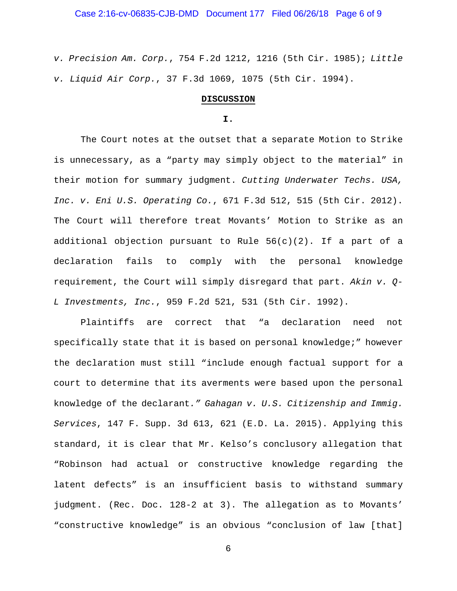### Case 2:16-cv-06835-CJB-DMD Document 177 Filed 06/26/18 Page 6 of 9

*v. Precision Am. Corp.*, 754 F.2d 1212, 1216 (5th Cir. 1985); *Little v. Liquid Air Corp.*, 37 F.3d 1069, 1075 (5th Cir. 1994).

### **DISCUSSION**

### **I.**

The Court notes at the outset that a separate Motion to Strike is unnecessary, as a "party may simply object to the material" in their motion for summary judgment. *Cutting Underwater Techs. USA, Inc. v. Eni U.S. Operating Co.*, 671 F.3d 512, 515 (5th Cir. 2012). The Court will therefore treat Movants' Motion to Strike as an additional objection pursuant to Rule  $56(c)(2)$ . If a part of a declaration fails to comply with the personal knowledge requirement, the Court will simply disregard that part. *Akin v. Q-L Investments, Inc.*, 959 F.2d 521, 531 (5th Cir. 1992).

Plaintiffs are correct that "a declaration need not specifically state that it is based on personal knowledge;" however the declaration must still "include enough factual support for a court to determine that its averments were based upon the personal knowledge of the declarant*." Gahagan v. U.S. Citizenship and Immig. Services*, 147 F. Supp. 3d 613, 621 (E.D. La. 2015). Applying this standard, it is clear that Mr. Kelso's conclusory allegation that "Robinson had actual or constructive knowledge regarding the latent defects" is an insufficient basis to withstand summary judgment. (Rec. Doc. 128-2 at 3). The allegation as to Movants' "constructive knowledge" is an obvious "conclusion of law [that]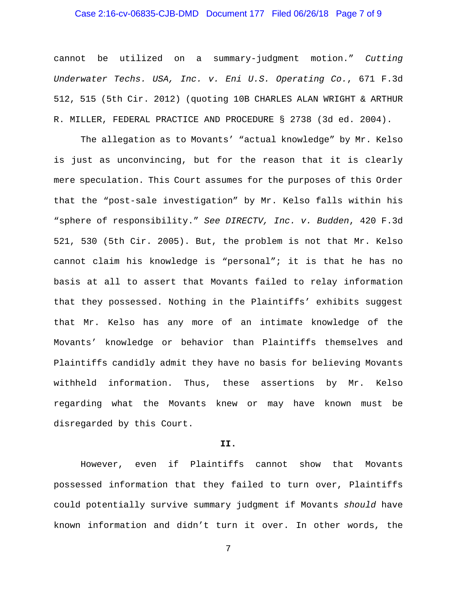## Case 2:16-cv-06835-CJB-DMD Document 177 Filed 06/26/18 Page 7 of 9

cannot be utilized on a summary-judgment motion." *Cutting Underwater Techs. USA, Inc. v. Eni U.S. Operating Co.*, 671 F.3d 512, 515 (5th Cir. 2012) (quoting 10B CHARLES ALAN WRIGHT & ARTHUR R. MILLER, FEDERAL PRACTICE AND PROCEDURE § 2738 (3d ed. 2004).

The allegation as to Movants' "actual knowledge" by Mr. Kelso is just as unconvincing, but for the reason that it is clearly mere speculation. This Court assumes for the purposes of this Order that the "post-sale investigation" by Mr. Kelso falls within his "sphere of responsibility." *See DIRECTV, Inc. v. Budden*, 420 F.3d 521, 530 (5th Cir. 2005). But, the problem is not that Mr. Kelso cannot claim his knowledge is "personal"; it is that he has no basis at all to assert that Movants failed to relay information that they possessed. Nothing in the Plaintiffs' exhibits suggest that Mr. Kelso has any more of an intimate knowledge of the Movants' knowledge or behavior than Plaintiffs themselves and Plaintiffs candidly admit they have no basis for believing Movants withheld information. Thus, these assertions by Mr. Kelso regarding what the Movants knew or may have known must be disregarded by this Court.

### **II.**

However, even if Plaintiffs cannot show that Movants possessed information that they failed to turn over, Plaintiffs could potentially survive summary judgment if Movants *should* have known information and didn't turn it over. In other words, the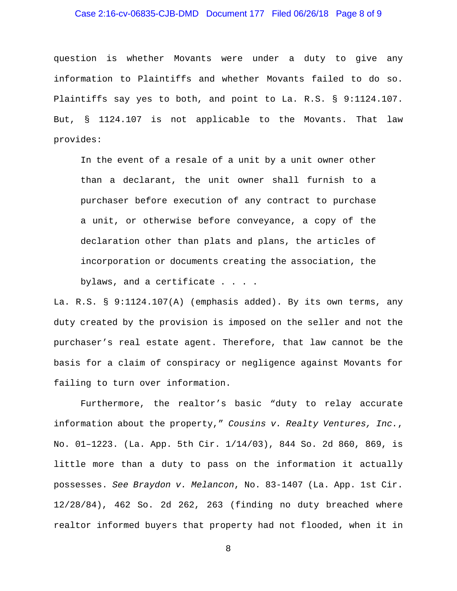## Case 2:16-cv-06835-CJB-DMD Document 177 Filed 06/26/18 Page 8 of 9

question is whether Movants were under a duty to give any information to Plaintiffs and whether Movants failed to do so. Plaintiffs say yes to both, and point to La. R.S. § 9:1124.107. But, § 1124.107 is not applicable to the Movants. That law provides:

In the event of a resale of a unit by a unit owner other than a declarant, the unit owner shall furnish to a purchaser before execution of any contract to purchase a unit, or otherwise before conveyance, a copy of the declaration other than plats and plans, the articles of incorporation or documents creating the association, the bylaws, and a certificate . . . .

La. R.S. § 9:1124.107(A) (emphasis added). By its own terms, any duty created by the provision is imposed on the seller and not the purchaser's real estate agent. Therefore, that law cannot be the basis for a claim of conspiracy or negligence against Movants for failing to turn over information.

Furthermore, the realtor's basic "duty to relay accurate information about the property," *Cousins v. Realty Ventures, Inc.*, No. 01–1223. (La. App. 5th Cir. 1/14/03), 844 So. 2d 860, 869, is little more than a duty to pass on the information it actually possesses. *See Braydon v. Melancon*, No. 83-1407 (La. App. 1st Cir. 12/28/84), 462 So. 2d 262, 263 (finding no duty breached where realtor informed buyers that property had not flooded, when it in